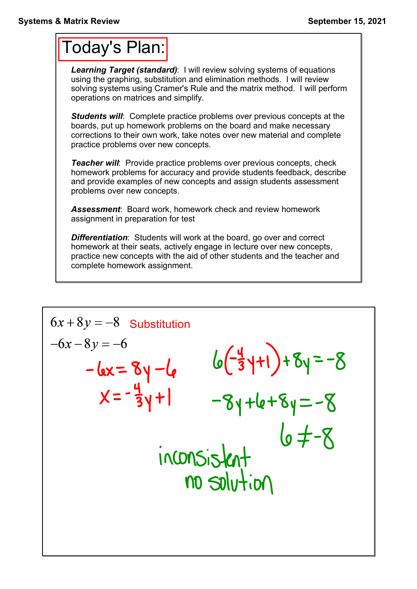## Today's Plan:

*Learning Target (standard)*: I will review solving systems of equations using the graphing, substitution and elimination methods. I will review solving systems using Cramer's Rule and the matrix method. I will perform operations on matrices and simplify.

*Students will*: Complete practice problems over previous concepts at the boards, put up homework problems on the board and make necessary corrections to their own work, take notes over new material and complete practice problems over new concepts.

*Teacher will:* Provide practice problems over previous concepts, check homework problems for accuracy and provide students feedback, describe and provide examples of new concepts and assign students assessment problems over new concepts.

*Assessment*: Board work, homework check and review homework assignment in preparation for test

*Differentiation*: Students will work at the board, go over and correct homework at their seats, actively engage in lecture over new concepts, practice new concepts with the aid of other students and the teacher and complete homework assignment.

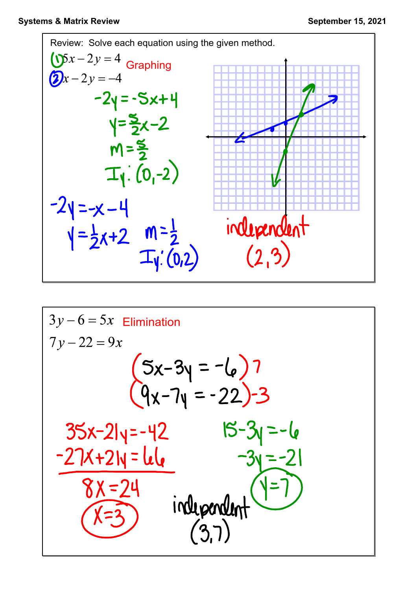

$$
3y-6=5x \text{ Elimination}7y-22=9x(5x-3y = -6)7(9x-7y = -22)-335x-21y=-4215-3y=-6-27x+21y=168x=246x=3independent(3,7)
$$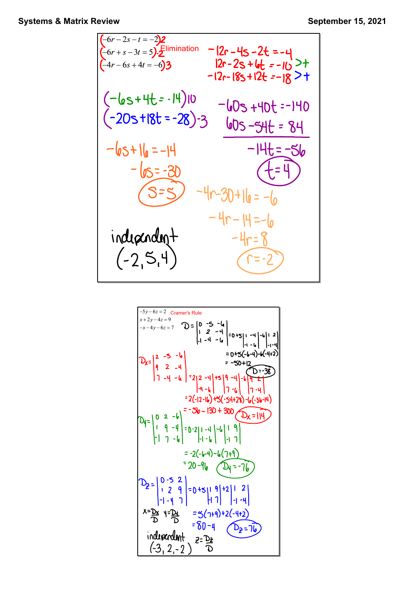$$
(-6r-2s-t=2)2
$$
  
\n
$$
(-6r+s-3t=5)2
$$
  
\n
$$
(-4r-6s+4t=-6)3
$$
  
\n
$$
-12r-18s+12t=-10 > +
$$
  
\n
$$
-(1e s+4t s-14)10
$$
  
\n
$$
-(20 s+18t s-28) -3
$$
  
\n
$$
-(6s+11)10
$$
  
\n
$$
-(20 s+18t s-28) -3
$$
  
\n
$$
-(6s+11)10
$$
  
\n
$$
-(6s+11)10
$$
  
\n
$$
-(6s+11)10
$$
  
\n
$$
-(6s+11)10
$$
  
\n
$$
-(6s+11)10
$$
  
\n
$$
-(6s+11)10
$$
  
\n
$$
-(6s+11)10
$$
  
\n
$$
-(6s+11)10
$$
  
\n
$$
-(6s+11)10
$$
  
\n
$$
-(6s+11)10
$$
  
\n
$$
-(6s+11)10
$$
  
\n
$$
-(6s+11)10
$$
  
\n
$$
-(6s+11)10
$$
  
\n
$$
-(6s+11)10
$$
  
\n
$$
-(6s+11)10
$$
  
\n
$$
-(6s+11)10
$$
  
\n
$$
-(6s+11)10
$$
  
\n
$$
-(6s+11)10
$$
  
\n
$$
-(6s+11)10
$$
  
\n
$$
-(6s+11)10
$$
  
\n
$$
-(6s+11)10
$$
  
\n
$$
-(6s+11)10
$$
  
\n
$$
-(6s+11)10
$$
  
\n
$$
-(6s+11)10
$$
  
\n
$$
-(6s+11)10
$$
  
\n
$$
-(6s+11)10
$$
  
\n
$$
-(6s+11)10
$$
<

$$
2x = \begin{vmatrix} 2 & -5 & -6 \\ x+2 & -4 & 2 \\ -x-4 & y-6 & 2 \end{vmatrix}
$$
  
\n
$$
2x = \begin{vmatrix} 2 & -5 & -6 \\ 9 & 2 & -4 \\ 1 & -4 & -6 \end{vmatrix} = 0 + 5\begin{vmatrix} 1 & -4 \\ -1 & -14 \end{vmatrix} = 0 + 5\begin{vmatrix} 1 & -4 \\ -1 & -14 \end{vmatrix} = 0 + 5\begin{vmatrix} 1 & -4 \\ -1 & -14 \end{vmatrix} = 0 + 5\begin{vmatrix} 1 & -4 \\ -1 & -14 \end{vmatrix} = 0 + 5\begin{vmatrix} 1 & -4 \\ 1 & -14 \end{vmatrix} = -50 + 12\begin{vmatrix} 1 & -4 \\ -1 & -14 \end{vmatrix} = -50 + 12\begin{vmatrix} 1 & -4 \\ -1 & -14 \end{vmatrix} = 2(2 - 14) + 5(3 - 14) + 5(3 - 14) = 2(-12 - 14) + 5(3 - 14) + 300
$$
  
\n
$$
2x = \begin{vmatrix} 1 & 0 & 2 & -6 \\ 1 & 9 & -4 \\ 1 & 1 & -14 \end{vmatrix} = 0 - 2[1 - 14] - 6(1 + 9)
$$
  
\n
$$
= 20 - 6[6 - 12 - 16 - 12 + 3] = 20 - 6(14) - 6(7 + 9)
$$
  
\n
$$
2x = \begin{vmatrix} 0 & -5 & 2 \\ 1 & 2 & 9 \\ -1 & -1 & 1 \end{vmatrix} = 0 + 5[1, 9] + 2[1, 2]
$$
  
\n
$$
x = 2x - 12
$$
  
\n
$$
x = 2x - 12
$$
  
\n
$$
x = 2x - 12
$$
  
\n
$$
x = 2x - 12
$$
  
\n
$$
x = 2x - 12
$$
  
\n
$$
x = 2x - 12
$$
  
\n
$$
x = 2x - 12
$$
  
\n
$$
x = 2x - 12
$$
  
\n
$$
x = 2x
$$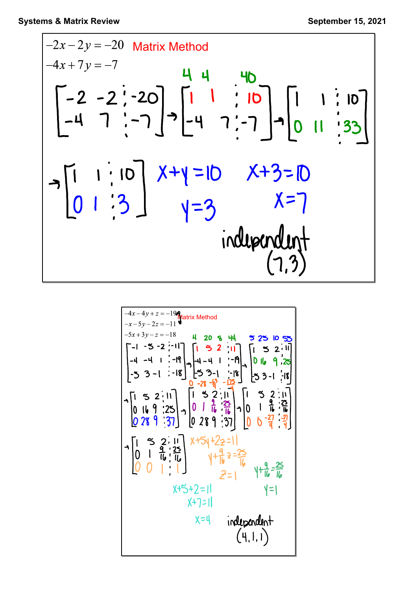$$
-2x-2y = -20
$$
 Matrix Method  
\n
$$
-4x+7y = -7
$$
\n
$$
-2 - 2 - 2 - 20
$$
\n
$$
-4 - 7 - 7 = -7
$$
\n
$$
-4 - 7 - 7 = -7
$$
\n
$$
-4 - 7 - 7 = -7
$$
\n
$$
-4 - 7 - 7 = -7
$$
\n
$$
-4 - 7 - 7 = -7
$$
\n
$$
-4 - 7 - 7 = -7
$$
\n
$$
-4 - 7 - 7 = -7
$$
\n
$$
-4 - 7 - 7 = -7
$$
\n
$$
-4 - 7 - 7 = -7
$$
\n
$$
-4 - 7 = -7
$$
\n
$$
-1 - 7 = -7
$$
\n
$$
-1 - 7 = -7
$$
\n
$$
-1 - 7 = -7
$$
\n
$$
-1 - 7 = -7
$$
\n
$$
-1 - 7 = -7
$$
\n
$$
-1 - 7 = -7
$$
\n
$$
-1 - 7 = -7
$$
\n
$$
-1 - 7 = -7
$$
\n
$$
-1 - 7 = -7
$$
\n
$$
-1 - 7 = -7
$$
\n
$$
-1 - 7 = -7
$$
\n
$$
-1 - 7 = -7
$$
\n
$$
-1 - 7 = -7
$$
\n
$$
-1 - 7 = -7
$$
\n
$$
-1 - 7 = -7
$$
\n
$$
-1 - 7 = -7
$$
\n
$$
-1 - 7 = -7
$$
\n
$$
-1 - 7 = -7
$$
\n
$$
-1 - 7 = -7
$$
\n
$$
-1 - 7 = -7
$$
\n
$$
-1 - 7 = -7
$$
\n
$$
-1 - 7 = -7
$$
\n
$$
-1 - 7 = -7
$$
\n
$$
-1 - 7 = -7
$$
\n
$$
-1 - 7 = -7
$$
\n
$$
-1 - 7 = -7
$$
\n
$$
-1 - 7 = -7
$$
\n
$$
-
$$

$$
\begin{vmatrix}\n-4x-4y+z=190 \\
-x-5y-2z=-11\n\end{vmatrix}
$$
\n
$$
\begin{vmatrix}\n-5x+3y-z=18 \\
-4-4+1 & -19 \\
-4-4+1 & -19\n\end{vmatrix}
$$
\n
$$
\begin{vmatrix}\n1 & 5 & 2 & 11 \\
-4 & -4 & 1 & -19 \\
-5 & 3 & -1 & -18\n\end{vmatrix}
$$
\n
$$
\begin{vmatrix}\n1 & 5 & 2 & 11 \\
-4 & -4 & 1 & -19 \\
-5 & 3 & -1 & -18\n\end{vmatrix}
$$
\n
$$
\begin{vmatrix}\n1 & 5 & 2 & 11 \\
-5 & 3 & -1 & -18 \\
0 & -28 & -49 & -125 \\
0 & -28 & -49 & -125\n\end{vmatrix}
$$
\n
$$
\begin{vmatrix}\n1 & 5 & 2 & 11 \\
-5 & 3 & -1 & -18 \\
0 & 16 & 9 & -28 \\
0 & 28 & 9 & -37\n\end{vmatrix}
$$
\n
$$
\begin{vmatrix}\n1 & 5 & 2 & 11 \\
0 & 1 & 6 & -27 \\
0 & 2 & 9 & -37\n\end{vmatrix}
$$
\n
$$
\begin{vmatrix}\n1 & 5 & 2 & 11 \\
0 & 1 & 6 & -27 \\
0 & 0 & 1 & 14\n\end{vmatrix}
$$
\n
$$
\begin{vmatrix}\n1 & 5 & 2 & 11 \\
0 & 1 & 6 & -27 \\
0 & 0 & 1 & 14\n\end{vmatrix}
$$
\n
$$
\begin{vmatrix}\n1 & 5 & 2 & 11 \\
0 & 1 & 6 & -27 \\
0 & 0 & 1 & 14\n\end{vmatrix}
$$
\n
$$
\begin{vmatrix}\n1 & 5 & 2 & 11 \\
0 & 1 & 6 & -27 \\
0 & 0 & 1 & 14\n\end{vmatrix}
$$
\n
$$
\begin{vmatrix}\n1 & 5 & 2 & 11 \\
0 & 1 & 6 & -27 \\
0 & 2 & 1 & 11\n\end{vmatrix}
$$
\n
$$
\begin{vmatrix}\n1 & 5 & 2 & 11 \\
0 & 1 & 6 & -27 \\
0 & 2 & 1 & 11\n\end{vmatrix}
$$
\n